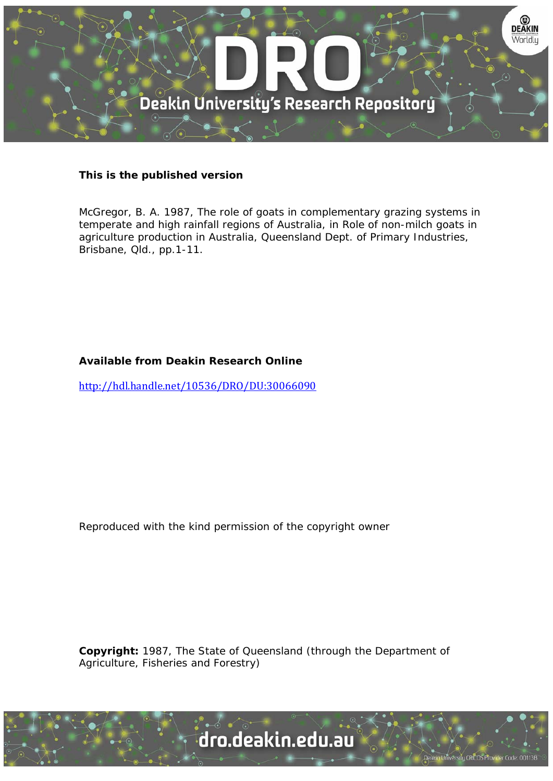

# **This is the published version**

McGregor, B. A. 1987, The role of goats in complementary grazing systems in temperate and high rainfall regions of Australia, in Role of non-milch goats in agriculture production in Australia, Queensland Dept. of Primary Industries, Brisbane, Qld., pp.1-11.

# **Available from Deakin Research Online**

http://hdl.handle.net/10536/DRO/DU:30066090

Reproduced with the kind permission of the copyright owner

**Copyright:** 1987, The State of Queensland (through the Department of Agriculture, Fisheries and Forestry)

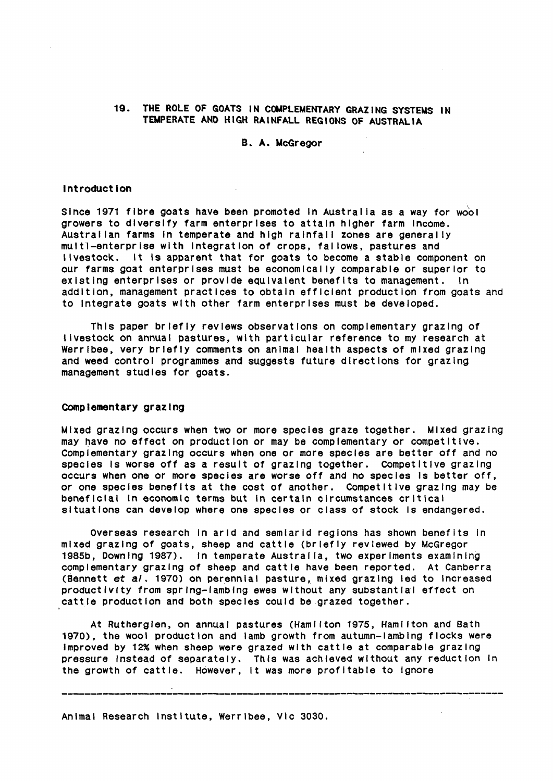## 19. THE ROLE OF GOATS IN COMPLEMENTARY GRAZING SYSTEMS IN TEMPERATE AND HIGH RAINFALL REGIONS OF AUSTRALIA

B. A. McGregor

## Introduction

Since 1971 fibre goats have been promoted In Australia as a way for wool growers to diversify farm enterprises to attain higher farm Income. Australian farms in temperate and high rainfall zones are generally multl-enterprlse with Integration of crops, fallows, pastures and livestock. It Is apparent that for goats to become a stable component on our farms goat enterprises must be economically comparable or superior to existing enterprises or provide equivalent benefits to management. In addition, management practices to obtain efficient production from goats and to Integrate goats with other farm enterprises must be developed.

This paper briefly reviews observations on complementary grazing of livestock on annual pastures, with particular reference to my research at Werrlbee, very briefly comments on animal health aspects of mixed grazing and weed control programmes and suggests future directions for grazing management studies for goats.

## Complementary grazing

Mixed grazing occurs when two or more species graze together. Mixed grazing may have no effect on production or may be complementary or competitive. Complementary grazing occurs when one or more species are better off and no species Is worse off as a result of grazing together. Competitive grazing occurs when one or more species are worse off and no species Is better off, or one species benefits at the cost of another. Competitive grazing may be beneficial In economic terms but In certain circumstances critical situations can develop where one species or class of stock Is endangered.

Overseas research In arid and semiarid regions has shown benefits In mixed grazing of goats, sheep and cattle (briefly reviewed by McGregor 1985b, Downing 1987). In temperate Austral la, two experiments examining complementary grazing of sheep and cattle have been reported. At Canberra (Bennett et al. 1970) on perennial pasture, mixed grazing led to Increased productivity from sprlng-lamblng ewes without any substantial effect on cattle production and both species could be .grazed together.

At Rutherglen, on annual pastures (Hamilton 1975, Haml lton and Bath 1970), the wool production and lamb growth from autumn-lambing flocks were Improved by 12% when sheep were grazed with cattle at comparable grazing pressure Instead of separately. This was achieved without any reduction In the growth of cattle. However, It was more profitable to Ignore

Animal Research Institute, Werrlbee, Vic 3030.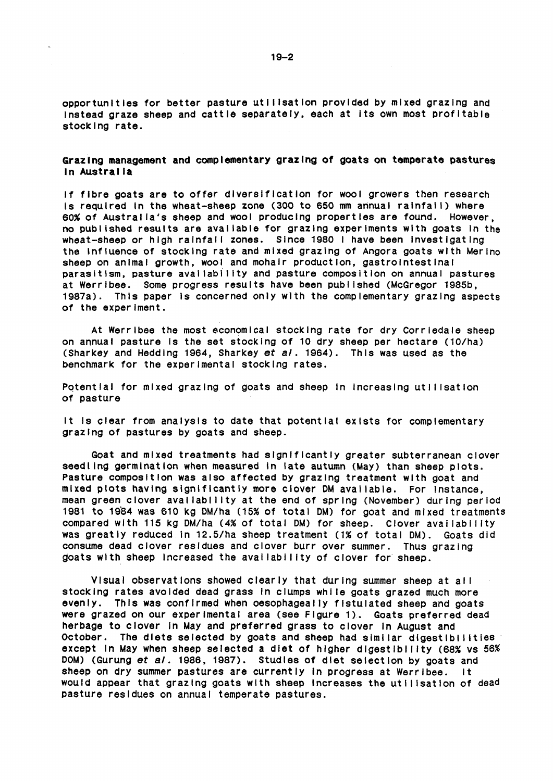opportunities for better pasture utilisation provided by mixed grazing and Instead graze sheep and cattle separately, each at Its own most profitable stocking rate.

## Grazing management and complementary grazing of goats on temperate pastures In Austral la

If fibre goats are to offer diversification for wool growers then research Is required In the wheat-sheep zone (300 to 650 mm annual ralnfal I} where 60% of Austral la's sheep and wool producing properties are found. However, no published results are available for grazing experiments with goats In the wheat-sheep or high rainfall zones. Since 1980 I have been Investigating the Influence of stocking rate and mixed grazing of Angora goats with Merino sheep on animal growth, wool and mohair production, gastrointestinal parasitism, pasture aval labll lty and pasture composition on annual pastures at Werrlbee. Some progress results have been published (McGregor 1985b, 1987a). This paper Is concerned only with the complementary grazing aspects of the experiment.

At Werrlbee the most economical stocking rate for dry Corrledale sheep on annual pasture Is the set stocking of 10 dry sheep per hectare (10/ha) (Sharkey and Hedding 1964, Sharkey *et* a/. 1964). This was used as the benchmark for the experimental stocking rates.

Potential for mixed grazing of goats and sheep in increasing utilisation of pasture

It Is clear from analysis to date that potential exists for complementary grazing of pastures by goats and sheep.

Goat and mixed treatments had slgnlflcantly greater subterranean clover seedling germination when measured In late autumn (May) than sheep plots. Pasture composition was also affected by grazing treatment with goat and mixed plots having slgnlflcantly more clover OM available. For Instance, mean green clover availability at the end of spring (November) during period 1981 to 1964 was 610 kg OM/ha (15% of total OM) for goat and mixed treatments compared with 115 kg DM/ha (4% of total DM) for sheep. Clover availability was greatly reduced In 12.5/ha sheep treatment (1% of total OM). Goats did consume dead clover residues and clover burr over summer. Thus grazing goats with sheep increased the availability of clover for sheep.

Visual observations showed clearly that during summer sheep at al I stocking rates avoided dead grass In clumps whl le goats grazed much more evenly. This was confirmed when oesophageally flstulated sheep and goats were grazed on our experimental area (see Figure 1). Goats preferred dead herbage to clover In May and preferred grass to clover In August and October. The diets selected by goats and sheep had similar digestibilities except In May when sheep selected a diet of higher digestibility (68% vs 56% DOM) (Gurung *et al.* 1986, 1987). Studies of diet selection by goats and sheep on dry summer pastures are currently In progress at Werrlbee. It would appear that grazing goats with sheep increases the utilisation of dead pasture residues on annual temperate pastures.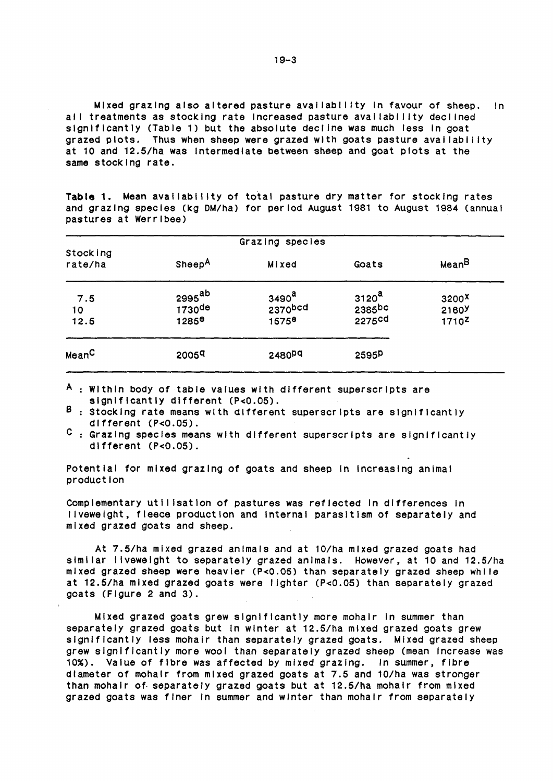Mixed grazing also altered pasture availability in favour of sheep. In all treatments as stocking rate increased pasture availability declined significantly (Table 1) but the absolute decline was much less in goat grazed plots. Thus when sheep were grazed with goats pasture availability at 10 and 12.5/ha was Intermediate between sheep and goat plots at the same stocking rate.

Table 1. Mean availability of total pasture dry matter for stocking rates and grazing species (kg OM/ha) for period August 1981 to August 1984 (annual pastures at Werrlbee)

|                     | Grazing species                                      |                                                   |                                       |                                                 |
|---------------------|------------------------------------------------------|---------------------------------------------------|---------------------------------------|-------------------------------------------------|
| Stocking<br>rate/ha | Sheep <sup>A</sup>                                   | Mixed                                             | Goats                                 | Mean <sup>B</sup>                               |
| 7.5<br>10<br>12.5   | 2995 <sup>ab</sup><br>$1730$ de<br>1285 <sup>e</sup> | 3490 <sup>a</sup><br>2370bcd<br>1575 <sup>e</sup> | 3120 <sup>a</sup><br>2385bc<br>2275cd | 3200 <sup>X</sup><br>2160Y<br>1710 <sup>Z</sup> |
| Mean <sup>C</sup>   | 2005 <sup>q</sup>                                    | 2480Pq                                            | 2595P                                 |                                                 |

A : Within body of table values with different superscripts are significantly different (P<0.05).

 $\overline{B}$  : Stocking rate means with different superscripts are significantly different (P<0.05).

 $\sigma$  : Grazing species means with different superscripts are significantly different (P<0.05).

Potential for mixed grazing of goats and sheep In Increasing animal production

Complementary utilisation of pastures was reflected in differences in llvewelght, fleece production and Internal parasitism of separately and mixed grazed goats and sheep.

At 7.5/ha mixed grazed animals and at 10/ha mixed grazed goats had similar liveweight to separately grazed animals. However, at 10 and 12.5/ha mixed grazed sheep were heavier (P<0.05) than separately grazed sheep while at 12.5/ha mixed grazed goats were I lghter (P<0.05) than separately grazed goats (Figure 2 and 3).

Mixed grazed goats grew significantly more mohair in summer than separately grazed goats but In winter at 12.5/ha mixed grazed goats grew slgnlflcantly less mohair than separately grazed goats. Mixed grazed sheep grew significantly more wool than separately grazed sheep (mean Increase was 10%). Value of fibre was affected by mixed grazing. In summer, fibre diameter of mohair from mixed grazed goats at 7.5 and 10/ha was stronger than mohair of. separately grazed goats but at 12.5/ha mohair from mixed grazed goats was finer In summer and winter than mohair from separately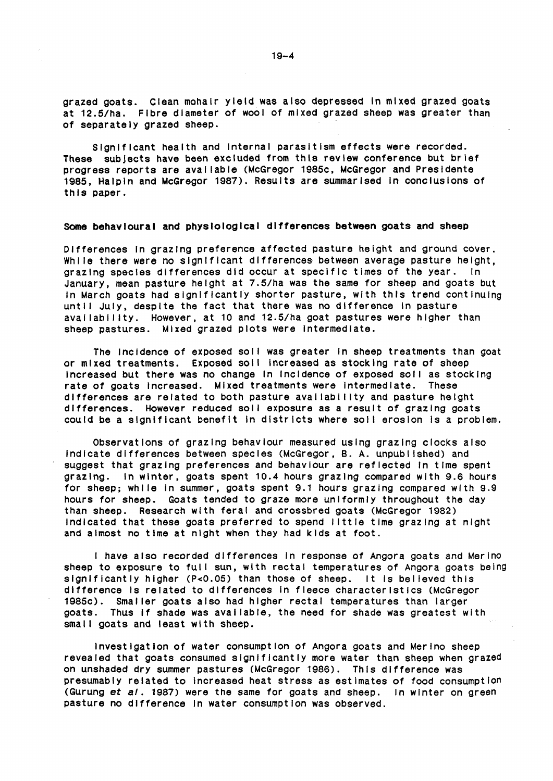grazed goats. Clean mohair yield was also depressed In mixed grazed goats at 12.5/ha. Fibre diameter of wool of mixed grazed sheep was greater than of separately grazed sheep.

Significant health and Internal parasitism effects were recorded. These subjects have been excluded from this review conference but brief progress reports are available (McGregor 1985c, McGregor and Presidente 1985, Halpin and McGregor 1987). Results are summarised In conclusions of this paper.

#### Some behavioural and physlologlcal differences between goats and sheep

Differences In grazing preference affected pasture height and ground cover. While there were no significant differences between average pasture height, grazing species differences did occur at specific times of the year. In January, mean pasture height at 7.5/ha was the same for sheep and goats but In March goats had slgnlf lcantly shorter pasture, with this trend continuing until July, despite the fact that there was no difference in pasture aval labll lty. However, at 10 and 12.5/ha goat pastures were higher than sheep pastures. Mixed grazed plots were Intermediate.

The Incidence of exposed soll was greater in sheep treatments than goat or mixed treatments. Exposed soil Increased as stocking rate of sheep Increased but there was no change In Incidence of exposed soil as stocking rate of goats Increased. Mixed treatments were Intermediate. These differences are related to both pasture availability and pasture height differences. However reduced soil exposure as a result of grazing goats could be a slgnif lcant benefit In districts where sol I erosion Is a problem.

Observations of grazing behaviour measured using grazing clocks also Indicate differences between species (McGregor, B. A. unpubl lshed) and suggest that grazing preferences and behaviour are reflected in time spent grazing. In winter, goats spent 10.4 hours grazing compared with 9.6 hours for sheep; while In summer, goats spent 9.1 hours grazing compared with 9.9 hours for sheep. Goats tended to graze more uniformly throughout the day than sheep. Research with feral and crossbred goats (McGregor 1982) Indicated that these goats preferred to spend I lttle time grazing at night and almost no time at night when they had kids at foot.

I have also recorded differences In response of Angora goats and Merino sheep to exposure to full sun, with rectal temperatures of Angora goats being significantly higher (P<0.05) than those of sheep. It is believed this difference Is related to differences In fleece characteristics (McGregor 1985c). Smaller goats also had higher rectal temperatures than larger goats. Thus if shade was available, the need for shade was greatest with small goats and least with sheep.

Investigation of water consumption of Angora goats and Merino sheep revealed that goats consumed significantly more water than sheep when grazed on unshaded dry summer pastures (McGregor 1986). This difference was presumably related to Increased heat stress as estimates of food consumption (Gurung *et al.* 1987) were the same for goats and sheep. In winter on green pasture no difference In water consumption was observed.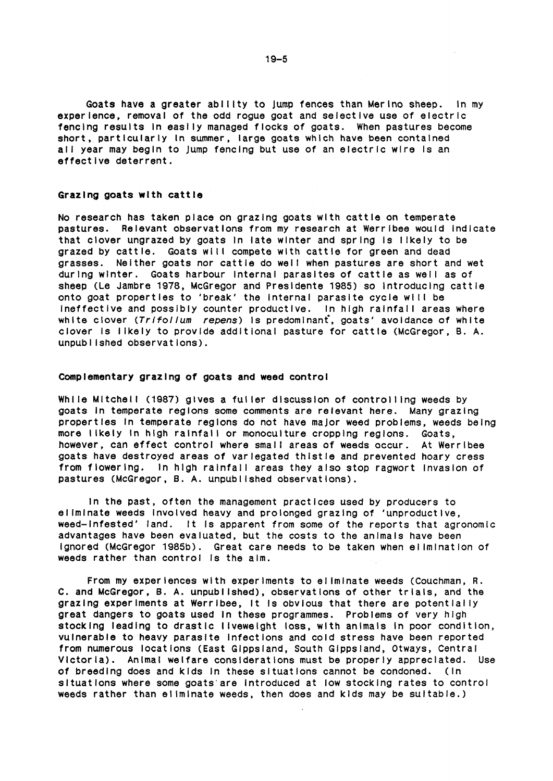Goats have a greater ability to jump fences than Merino sheep. In my experience, removal of the odd rogue goat and selective use of electric fencing results in easily managed flocks of goats. When pastures become short, particularly In summer, large goats which have been contained all year may begin to jump fencing but use of an electric wire is an effective deterrent.

## Grazing goats with cattle

No research has taken place on grazing goats with cattle on temperate pastures. Relevant observations from my research at Werrlbee would Indicate that clover ungrazed by goats In 1ate winter and spring Is I lkely to be grazed by cattle. Goats will compete with cattle for green and dead grasses. Neither goats nor cattle do well when pastures are short and wet during winter. Goats harbour internal parasites of cattle as well as of sheep (Le Jambre 1978, McGregor and Presldente 1985) so Introducing cattle onto goat properties to 'break' the internal parasite cycle will be Ineffective and possibly counter productive. In high rainfall areas where white clover *(Trlfollum repens)* Is predominant, goats' avoidance of white clover Is I lkely to provide additional pasture for cattle (McGregor, B. A. unpubl lshed observations).

#### Complementary grazing of goats and weed control

While Mitchell (1987) gives a fuller discussion of controlling weeds by goats In temperate regions some comments are relevant here. Many grazing properties In temperate regions do not have major weed problems, weeds being more likely in high rainfall or monoculture cropping regions. Goats, however, can effect control where small areas of weeds occur. At Werribee goats have destroyed areas of variegated thistle and prevented hoary cress from flowering. In high rainfall areas they also stop ragwort invasion of pastures (McGregor, B. A. unpublished observations).

In the past, often the management practices used by producers to eliminate weeds involved heavy and prolonged grazing of 'unproductive, weed-Infested' land. It Is apparent from some of the reports that agronomic advantages have been evaluated, but the costs to the animals have been Ignored (McGregor 1985b). Great care needs to be taken when el lmlnatlon of weeds rather than control is the aim.

From my experiences with experiments to el lmlnate weeds (Couchman, R. C. and McGregor, B. A. unpubl lshed), observations of other trials, and the grazing experiments at Werribee, It is obvious that there are potentially great dangers to goats used In these programmes. Problems of very high stocking leading to drastic liveweight loss, with animals in poor condition, vulnerable to heavy parasite Infections and cold stress have been reported from numerous locations (East Glppsland, South Glppsland, Otways, Central Victoria). Animal welfare considerations must be properly appreciated. Use of breeding does and kids In these situations cannot be condoned. (In situations where some goats are introduced at low stocking rates to control weeds rather than eliminate weeds, then does and kids may be suitable.)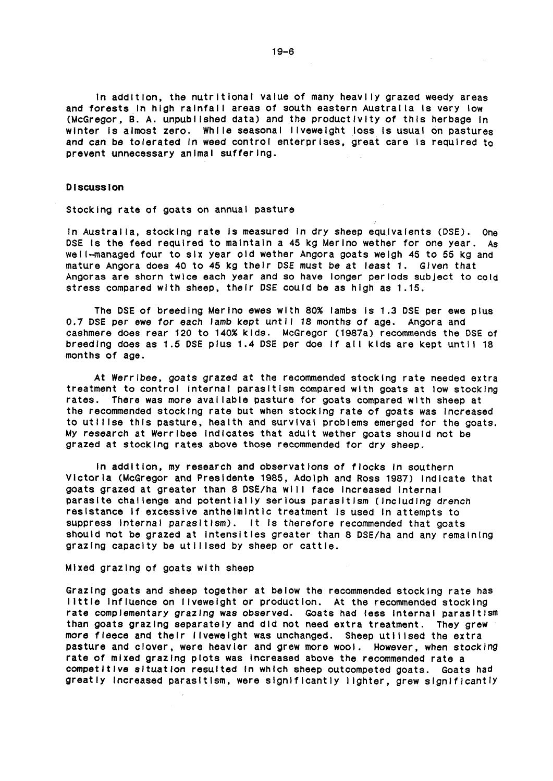In addition, the nutritional value of many heavl ly grazed weedy areas and forests in high rainfall areas of south eastern Australia is very low (McGregor, B. A. unpublished data) and the productivity of this herbage in winter is almost zero. While seasonal liveweight loss is usual on pastures and can be tolerated in weed control enterprises, great care is required to prevent unnecessary animal suffering.

## Discussion

Stocking rate of goats on annual pasture

In Australia, stocking rate is measured in dry sheep equivalents (DSE). One DSE Is the feed required to maintain a 45 kg Merino wether for one year. As wel I-managed four to six year old wether Angora goats weigh 45 to 55 kg and mature Angora does 40 to 45 kg their DSE must be at least 1. Given that Angoras are shorn twice each year and so have longer periods subject to cold stress compared with sheep, their DSE could be as high as 1.15.

The DSE of breeding Merino ewes with 80% lambs Is 1.3 DSE per ewe plus 0.7 DSE per ewe for each lamb kept until 18 months of age. Angora and cashmere does rear 120 to 140% kids. McGregor (1987a) recommends the DSE of breeding does as 1.5 DSE plus 1.4 DSE per doe if all kids are kept until 18 months of age.

At Werrlbee, goats grazed at the recommended stocking rate needed extra treatment to control Internal parasitism compared with goats at low stocking rates. There was more available pasture for goats compared with sheep at the recommended stocking rate but when stocking rate of goats was Increased to utl Ilse this pasture, health and survival problems emerged for the goats. My research at Werrlbee Indicates that adult wether goats should not be grazed at stocking rates above those recommended for dry sheep.

In addition, my research and observations of flocks In southern Victoria (McGregor and Presldente 1985, Adolph and Ross 1987) Indicate that goats grazed at greater than 8 DSE/ha will face increased internal parasite challenge and potentially serious parasitism (including drench resistance If excessive anthelmlntlc treatment is used In attempts to suppress Internal parasitism). It is therefore recommended that goats should not be grazed at Intensities greater than 8 DSE/ha and any remaining grazing capacity be utilised by sheep or cattle.

Mixed grazing of goats with sheep

Grazing goats and sheep together at below the recommended stocking rate has I lttle Influence on I lvewelght or production. At the recommended stocking rate complementary grazing was observed. Goats had less Internal parasitism than goats grazing separately and did not need extra treatment. They grew more fleece and their ilveweight was unchanged. Sheep utilised the extra pasture and clover, were heavier and grew more wool. However, when stocking rate of mixed grazing plots was Increased above the recommended rate a competitive situation resulted in which sheep outcompeted goats. Goats had greatly increased parasitism, were significantly lighter, grew significantly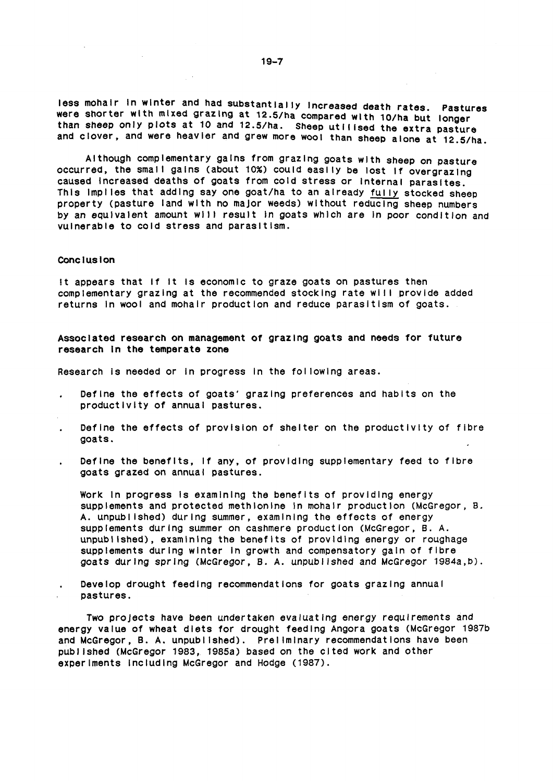less mohair In winter and had substantially Increased death rates. Pastures were shorter with mixed grazing at 12.5/ha compared with 10/ha but longer than sheep only plots at 10 and 12.5/ha. Sheep utilised the extra pasture and clover, and were heavier and grew more wool than sheep alone at 12.5/ha.

Although complementary gains from grazing goats with sheep on pasture occurred, the small gains (about 10%) could easlly be lost if overgrazing caused Increased deaths of goats from cold stress or Internal parasites. This implies that adding say one goat/ha to an already fully stocked sheep property (pasture land with no major weeds) without reducing sheep numbers by an equivalent amount will result in goats which are in poor condition and vulnerable to cold stress and parasitism.

#### Conclusion

It appears that if it is economic to graze goats on pastures then complementary grazing at the recommended stocking rate will provide added returns In wool and mohair production and reduce parasitism of goats.

Associated research on management of grazing goats and needs for future research In the temperate zone

Research Is needed or In progress In the fol lowing areas.

- Define the effects of goats' grazing preferences and habits on the productivity of annual pastures.
- Define the effects of provision of shelter on the productivity of fibre goats.
- Define the benefits, if any, of providing supplementary feed to fibre goats grazed on annual pastures.

Work In progress Is examining the benefits of providing energy supplements and protected methionine In mohair production (McGregor, B. A. unpubl lshed) during summer, examining the effects of energy supplements during summer on cashmere production (McGregor, 8. A. unpublished), examining the benefits of providing energy or roughage supplements during winter In growth and compensatory gain of fibre goats during spring (McGregor, B. A. unpublished and McGregor 1984a,b).

Develop drought feeding recommendations for goats grazing annual pastures.

Two projects have been undertaken evaluating energy requirements and energy value of wheat diets for drought feeding Angora goats (McGregor 1987b and McGregor, B. A. unpublished). Preliminary recommendations have been publ lshed (McGregor 1983,. 1985a) based on the cited work and other experiments Including McGregor and Hodge (1987).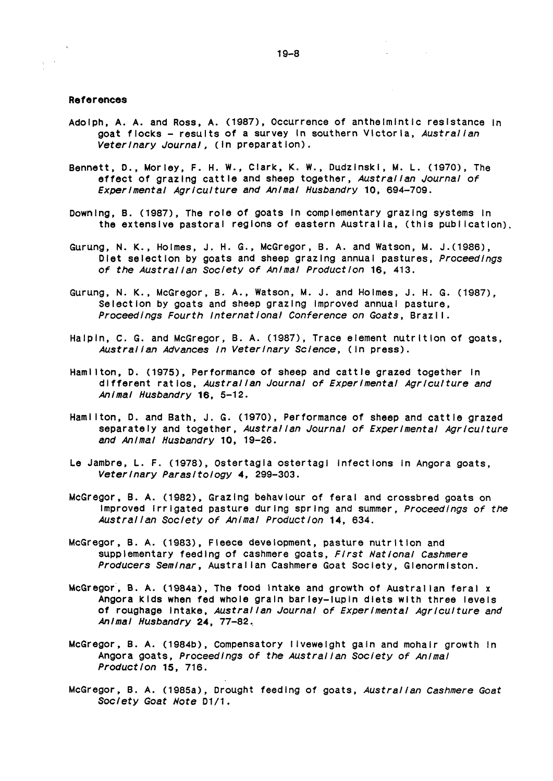## References

 $\sqrt{\beta}$  ,  $\alpha$ 

- Adolph, A. A. and Ross, A. (1987), Occurrence of anthelmintic resistance in goat flocks - results of a survey In southern Victoria, *Australian Veterinary Journal,* (In preparation).
- Bennett, D., Morley, F. H. W., Clark, K. W., Dudzinski, M. L. (1970), The effect of grazing cattle and sheep together, *Australian Journal of Experimental Agriculture and Animal Husbandry* 10, 694-709.
- Downing, B. (1987), The role of goats In complementary grazing systems In the extensive pastoral regions of eastern Australia, (this publication).
- Gurung, N. K., Holmes, J. H. G., McGregor, B. A. and Watson, M. J.(1986), Diet selection by goats and sheep grazing annual pastures, *Proceedings of the Austral/an Society of Animal Production* 16, 413.
- Gurung, N. K., McGregor, B. A., Watson, M. J. and Holmes, J. H. G. (1987), Selection by goats and sheep grazing Improved annual pasture, *Proceedings Fourth International Conference on Goats,* Braz I I.
- Halpin, c. G. and McGregor, B. A. (1987), Trace element nutrition of goats, *Australian Advances In Veterinary Science,* (In press).
- Hamilton, D. (1975), Performance of sheep and cattle grazed together in different ratios, *Australian Journal of Experimental Agriculture and Animal Husbandry* 16, 5-12.
- Hamilton, D. and Bath, J. G. (1970), Performance of sheep and cattle grazed separately and together, *Austral/an Journal of Experimental Agriculture and Animal Husbandry* 10, 19-26.
- Le Jambre, L. F. (1978), Ostertagla ostertagl Infections In Angora goats, *Veterinary Parasitology* 4, 299-303.
- McGregor, B. A. (1982), Grazing behaviour of feral and crossbred goats on Improved Irrigated pasture during spring and summer, *Proceedings of the Australian Society of Animal Production* 14, 634.
- McGregor, B. A. (1983), Fleece development, pasture nutrition and supplementary feeding of cashmere goats, *First National Cashmere Producers Seminar,* Austral Ian Cashmere Goat Society, Glenormlston.
- McGregor, B. A. (1984a), The food Intake and growth of Australian feral x Angora kids when fed whole grain barley-lupin diets with three levels of roughage Intake, *Australian Journal of Experimental Agriculture and Animal Husbandry* 24, 77-82.,
- McGregor, B. A. (1984b), Compensatory llvewelght gain and mohair growth In Angora goats, *Proceedings of the Austral/an Society of Animal Production* 15, 716.
- McGregor, B. A. (1985a), Drought feeding of goats, *Australian Cashmere Goat Society* Goat *Note* 01/1.

 $\mathcal{L}(\mathbf{Q})$  and  $\mathcal{L}(\mathbf{Q})$  and  $\mathcal{L}(\mathbf{Q})$ 

 $\sim 10^{-11}$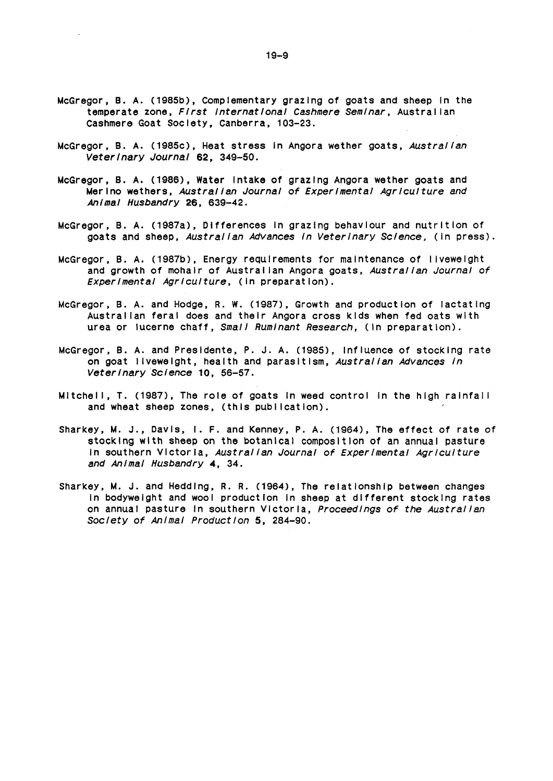- McGregor, B. A. (1985b), Complementary grazing of goats and sheep In the temperate zone, *First International Cashmere Seminar,* Austral Ian cashmere Goat Society, Canberra, 103-23.
- McGregor, B. A. C1985c), Heat stress In Angora wether goats, *Australian Veterinary Journal* 62, 349-50.
- McGregor, B. A. (1986), Water Intake of grazing Angora wether goats and Merino wethers, *Austral/an Journal of Experimental Agriculture and Animal Husbandry* 26, 639-42.
- McGregor, B. A. (1987a), Differences In grazing behaviour and nutrition of goats and sheep, *Australian Advances In Veterinary Science,* (in press).
- McGregor, B. A. (1987b), Energy requirements for maintenance of I lvewelght and growth of mohair of Austral Ian Angora goats, *Australian Journal of Experimental Agriculture,* (in preparation).
- McGregor, B. A. and Hodge, R. w. (1987), Growth and production of lactating Austral Ian feral does and their Angora cross kids when fed oats with urea or lucerne chaff, *Small Ruminant Research,* (In preparation).
- McGregor, B. A. and Presldente, P. J. A. (1985), Influence of stocking rate on goat I lvewelght, health and parasitism, *Austral/an Advances In Veterinary Science* 10, 56-57.
- Mitchell, T. (1987), The role of goats in weed control in the high rainfall and wheat sheep zones, (this publication).
- Sharkey, M. J., Davis, I. F. and Kenney, P.A. (1964), The effect of rate of stocking with sheep on the botanical composition of an annual pasture In southern Victoria, *Australian Journal of Experimental Agriculture and Animal Husbandry 4,* 34.
- Sharkey, M. J. and Hedding, R. R. (1964), The relationship between changes In bodyweight and wool production In sheep at different stocking rates on annual pasture In southern Victoria, *Proceedings of the Australian Society of Animal Production* 5, 284-90.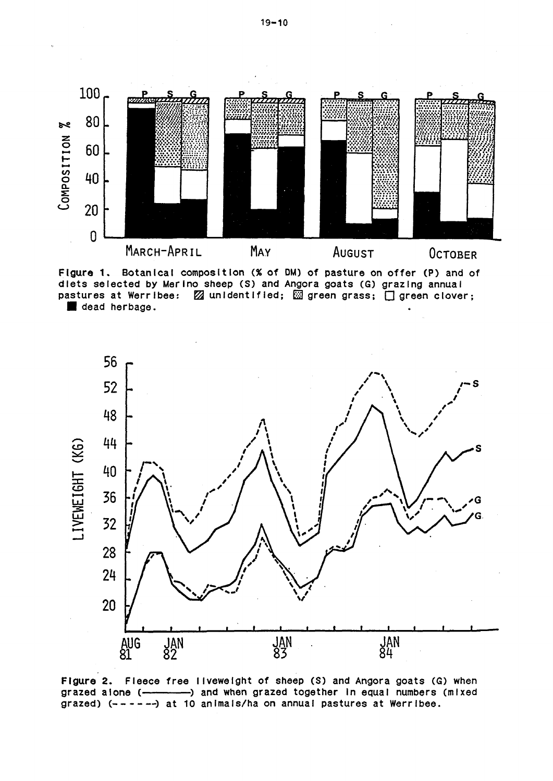

Figure 1. Botanical composition (%of OM) of pasture on offer (P) and of diets selected by Merino sheep CS) and Angora goats (G) grazing annual pastures at Werribee:  $\boxtimes$  unidentified;  $\boxtimes$  green grass;  $\Box$  green clover; dead herbage.



Figure 2. Fleece free liveweight of sheep (S) and Angora goats (G) when grazed alone (-------------) and when grazed together in equal numbers (mixed grazed)  $(- - - - -)$  at 10 animals/ha on annual pastures at Werribee.